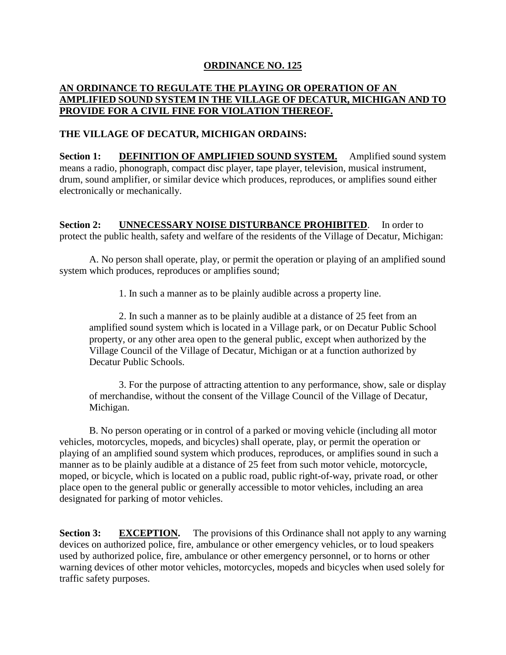## **ORDINANCE NO. 125**

## **AN ORDINANCE TO REGULATE THE PLAYING OR OPERATION OF AN AMPLIFIED SOUND SYSTEM IN THE VILLAGE OF DECATUR, MICHIGAN AND TO PROVIDE FOR A CIVIL FINE FOR VIOLATION THEREOF.**

## **THE VILLAGE OF DECATUR, MICHIGAN ORDAINS:**

**Section 1: DEFINITION OF AMPLIFIED SOUND SYSTEM.** Amplified sound system means a radio, phonograph, compact disc player, tape player, television, musical instrument, drum, sound amplifier, or similar device which produces, reproduces, or amplifies sound either electronically or mechanically.

**Section 2: UNNECESSARY NOISE DISTURBANCE PROHIBITED**. In order to protect the public health, safety and welfare of the residents of the Village of Decatur, Michigan:

A. No person shall operate, play, or permit the operation or playing of an amplified sound system which produces, reproduces or amplifies sound;

1. In such a manner as to be plainly audible across a property line.

2. In such a manner as to be plainly audible at a distance of 25 feet from an amplified sound system which is located in a Village park, or on Decatur Public School property, or any other area open to the general public, except when authorized by the Village Council of the Village of Decatur, Michigan or at a function authorized by Decatur Public Schools.

3. For the purpose of attracting attention to any performance, show, sale or display of merchandise, without the consent of the Village Council of the Village of Decatur, Michigan.

B. No person operating or in control of a parked or moving vehicle (including all motor vehicles, motorcycles, mopeds, and bicycles) shall operate, play, or permit the operation or playing of an amplified sound system which produces, reproduces, or amplifies sound in such a manner as to be plainly audible at a distance of 25 feet from such motor vehicle, motorcycle, moped, or bicycle, which is located on a public road, public right-of-way, private road, or other place open to the general public or generally accessible to motor vehicles, including an area designated for parking of motor vehicles.

**Section 3: EXCEPTION.** The provisions of this Ordinance shall not apply to any warning devices on authorized police, fire, ambulance or other emergency vehicles, or to loud speakers used by authorized police, fire, ambulance or other emergency personnel, or to horns or other warning devices of other motor vehicles, motorcycles, mopeds and bicycles when used solely for traffic safety purposes.